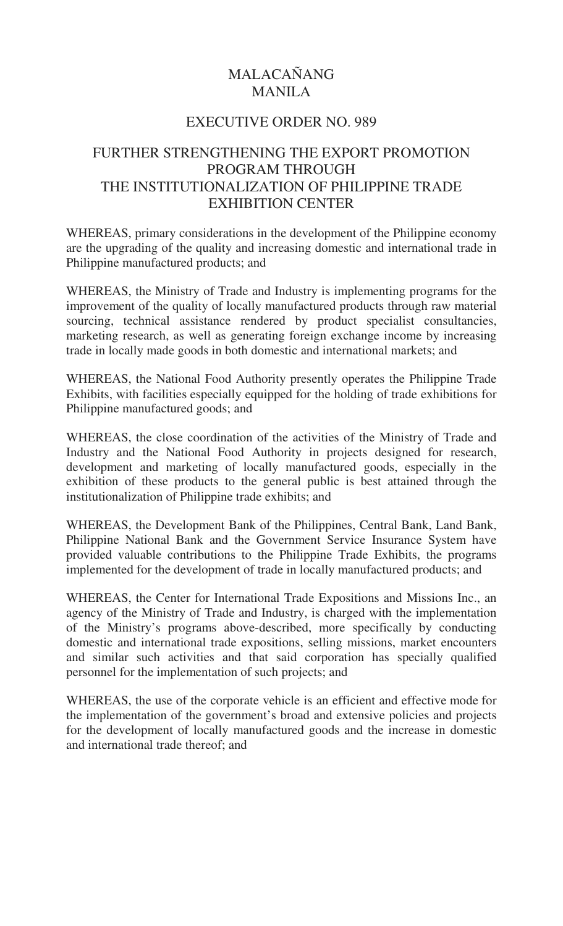## MALACAÑANG MANILA

## EXECUTIVE ORDER NO. 989

## FURTHER STRENGTHENING THE EXPORT PROMOTION PROGRAM THROUGH THE INSTITUTIONALIZATION OF PHILIPPINE TRADE EXHIBITION CENTER

WHEREAS, primary considerations in the development of the Philippine economy are the upgrading of the quality and increasing domestic and international trade in Philippine manufactured products; and

WHEREAS, the Ministry of Trade and Industry is implementing programs for the improvement of the quality of locally manufactured products through raw material sourcing, technical assistance rendered by product specialist consultancies, marketing research, as well as generating foreign exchange income by increasing trade in locally made goods in both domestic and international markets; and

WHEREAS, the National Food Authority presently operates the Philippine Trade Exhibits, with facilities especially equipped for the holding of trade exhibitions for Philippine manufactured goods; and

WHEREAS, the close coordination of the activities of the Ministry of Trade and Industry and the National Food Authority in projects designed for research, development and marketing of locally manufactured goods, especially in the exhibition of these products to the general public is best attained through the institutionalization of Philippine trade exhibits; and

WHEREAS, the Development Bank of the Philippines, Central Bank, Land Bank, Philippine National Bank and the Government Service Insurance System have provided valuable contributions to the Philippine Trade Exhibits, the programs implemented for the development of trade in locally manufactured products; and

WHEREAS, the Center for International Trade Expositions and Missions Inc., an agency of the Ministry of Trade and Industry, is charged with the implementation of the Ministry's programs above-described, more specifically by conducting domestic and international trade expositions, selling missions, market encounters and similar such activities and that said corporation has specially qualified personnel for the implementation of such projects; and

WHEREAS, the use of the corporate vehicle is an efficient and effective mode for the implementation of the government's broad and extensive policies and projects for the development of locally manufactured goods and the increase in domestic and international trade thereof; and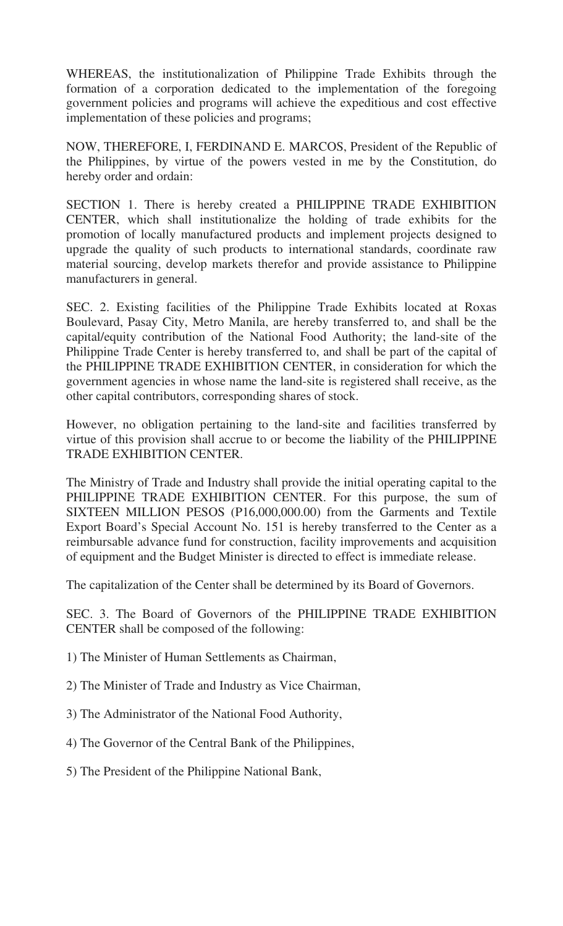WHEREAS, the institutionalization of Philippine Trade Exhibits through the formation of a corporation dedicated to the implementation of the foregoing government policies and programs will achieve the expeditious and cost effective implementation of these policies and programs;

NOW, THEREFORE, I, FERDINAND E. MARCOS, President of the Republic of the Philippines, by virtue of the powers vested in me by the Constitution, do hereby order and ordain:

SECTION 1. There is hereby created a PHILIPPINE TRADE EXHIBITION CENTER, which shall institutionalize the holding of trade exhibits for the promotion of locally manufactured products and implement projects designed to upgrade the quality of such products to international standards, coordinate raw material sourcing, develop markets therefor and provide assistance to Philippine manufacturers in general.

SEC. 2. Existing facilities of the Philippine Trade Exhibits located at Roxas Boulevard, Pasay City, Metro Manila, are hereby transferred to, and shall be the capital/equity contribution of the National Food Authority; the land-site of the Philippine Trade Center is hereby transferred to, and shall be part of the capital of the PHILIPPINE TRADE EXHIBITION CENTER, in consideration for which the government agencies in whose name the land-site is registered shall receive, as the other capital contributors, corresponding shares of stock.

However, no obligation pertaining to the land-site and facilities transferred by virtue of this provision shall accrue to or become the liability of the PHILIPPINE TRADE EXHIBITION CENTER.

The Ministry of Trade and Industry shall provide the initial operating capital to the PHILIPPINE TRADE EXHIBITION CENTER. For this purpose, the sum of SIXTEEN MILLION PESOS (P16,000,000.00) from the Garments and Textile Export Board's Special Account No. 151 is hereby transferred to the Center as a reimbursable advance fund for construction, facility improvements and acquisition of equipment and the Budget Minister is directed to effect is immediate release.

The capitalization of the Center shall be determined by its Board of Governors.

SEC. 3. The Board of Governors of the PHILIPPINE TRADE EXHIBITION CENTER shall be composed of the following:

1) The Minister of Human Settlements as Chairman,

2) The Minister of Trade and Industry as Vice Chairman,

3) The Administrator of the National Food Authority,

4) The Governor of the Central Bank of the Philippines,

5) The President of the Philippine National Bank,